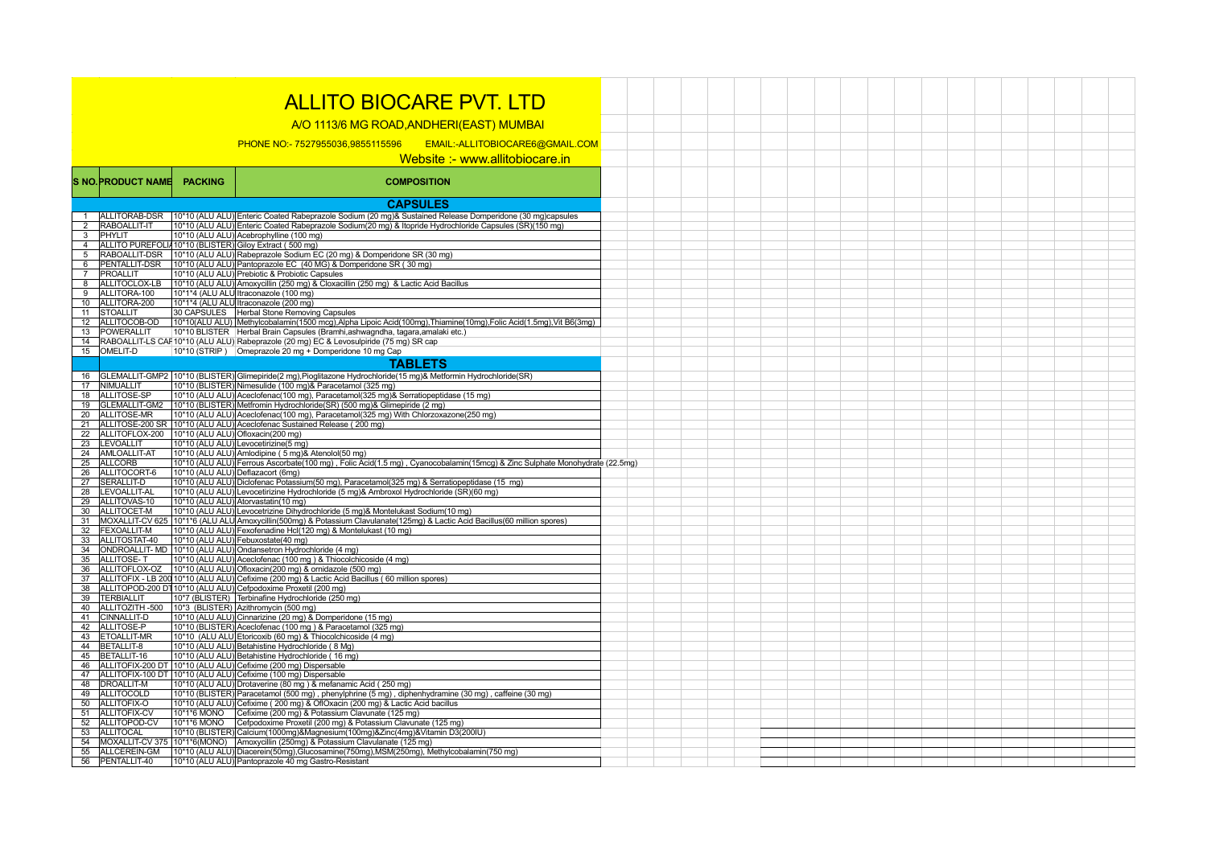## ALLITO BIOCARE PVT. LTD

A/O 1113/6 MG ROAD,ANDHERI(EAST) MUMBAI

PHONE NO:- 7527955036,9855115596 EMAIL:-ALLITOBIOCARE6@GMAIL.COM

## Website :- www.allitobiocare.in

|                | <b>S NO.PRODUCT NAME</b>        | <b>PACKING</b> | <b>COMPOSITION</b>                                                                                                                                                                    |  |  |  |  |
|----------------|---------------------------------|----------------|---------------------------------------------------------------------------------------------------------------------------------------------------------------------------------------|--|--|--|--|
|                |                                 |                | <b>CAPSULES</b>                                                                                                                                                                       |  |  |  |  |
| $\mathbf{1}$   | ALLITORAB-DSR                   |                | 10*10 (ALU ALU) Enteric Coated Rabeprazole Sodium (20 mg)& Sustained Release Domperidone (30 mg)capsules                                                                              |  |  |  |  |
| $\overline{2}$ | RABOALLIT-IT                    |                | 10*10 (ALU ALU) Enteric Coated Rabeprazole Sodium(20 mg) & Itopride Hydrochloride Capsules (SR)(150 mg)                                                                               |  |  |  |  |
| 3              | PHYLIT                          |                | 10*10 (ALU ALU) Acebrophylline (100 mg)                                                                                                                                               |  |  |  |  |
| $\overline{4}$ |                                 |                | ALLITO PUREFOLIA10*10 (BLISTER) Giloy Extract (500 mg)                                                                                                                                |  |  |  |  |
| 5              | RABOALLIT-DSR                   |                | 10*10 (ALU ALU) Rabeprazole Sodium EC (20 mg) & Domperidone SR (30 mg)                                                                                                                |  |  |  |  |
| 6              | PENTALLIT-DSR                   |                | 10*10 (ALU ALU) Pantoprazole EC (40 MG) & Domperidone SR (30 mg)                                                                                                                      |  |  |  |  |
| $\overline{7}$ | PROALLIT                        |                | 10*10 (ALU ALU) Prebiotic & Probiotic Capsules                                                                                                                                        |  |  |  |  |
| 8              | ALLITOCLOX-LB                   |                | 10*10 (ALU ALU) Amoxycillin (250 mg) & Cloxacillin (250 mg) & Lactic Acid Bacillus                                                                                                    |  |  |  |  |
| 9              | ALLITORA-100                    |                | 10*1*4 (ALU ALU Itraconazole (100 mg)                                                                                                                                                 |  |  |  |  |
| 10             | ALLITORA-200                    |                | 10*1*4 (ALU ALU Itraconazole (200 mg)                                                                                                                                                 |  |  |  |  |
| 11             | <b>STOALLIT</b>                 |                | 30 CAPSULES   Herbal Stone Removing Capsules                                                                                                                                          |  |  |  |  |
| 12             | ALLITOCOB-OD                    |                | 10*10(ALU ALU) Methylcobalamin(1500 mcg), Alpha Lipoic Acid(100mg), Thiamine(10mg), Folic Acid(1.5mg), Vit B6(3mg)                                                                    |  |  |  |  |
| 13             | POWERALLIT                      |                | 10*10 BLISTER Herbal Brain Capsules (Bramhi, ashwagndha, tagara, amalaki etc.)                                                                                                        |  |  |  |  |
| 14             |                                 |                | RABOALLIT-LS CAF 10*10 (ALU ALU) Rabeprazole (20 mg) EC & Levosulpiride (75 mg) SR cap                                                                                                |  |  |  |  |
|                | 15 OMELIT-D                     |                | 10*10 (STRIP) Omeprazole 20 mg + Domperidone 10 mg Cap                                                                                                                                |  |  |  |  |
|                |                                 |                | <b>TABLETS</b>                                                                                                                                                                        |  |  |  |  |
| 16             |                                 |                | GLEMALLIT-GMP2 10*10 (BLISTER) Glimepiride(2 mg), Pioglitazone Hydrochloride(15 mg)& Metformin Hydrochloride(SR)                                                                      |  |  |  |  |
| 17             | NIMUALLIT                       |                | 10*10 (BLISTER) Nimesulide (100 mg)& Paracetamol (325 mg)                                                                                                                             |  |  |  |  |
| 18             | ALLITOSE-SP                     |                | 10*10 (ALU ALU) Aceclofenac(100 mg), Paracetamol(325 mg)& Serratiopeptidase (15 mg)                                                                                                   |  |  |  |  |
| 19             | GLEMALLIT-GM2                   |                | 10*10 (BLISTER) Metfromin Hydrochloride(SR) (500 mg)& Glimepiride (2 mg)                                                                                                              |  |  |  |  |
| 20             | ALLITOSE-MR                     |                | 10*10 (ALU ALU) Aceclofenac(100 mg), Paracetamol(325 mg) With Chlorzoxazone(250 mg)                                                                                                   |  |  |  |  |
| 21             |                                 |                | ALLITOSE-200 SR 10*10 (ALU ALU) Aceclofenac Sustained Release (200 mg)                                                                                                                |  |  |  |  |
| 22             | ALLITOFLOX-200                  |                | 10*10 (ALU ALU) Ofloxacin(200 mg)                                                                                                                                                     |  |  |  |  |
| 23             | LEVOALLIT                       |                | 10*10 (ALU ALU) Levocetirizine (5 mg)                                                                                                                                                 |  |  |  |  |
| 24             | AMLOALLIT-AT                    |                | 10*10 (ALU ALU) Amlodipine (5 mg)& Atenolol(50 mg)                                                                                                                                    |  |  |  |  |
| 25             | <b>ALLCORB</b>                  |                | 10*10 (ALU ALU) Ferrous Ascorbate(100 mg), Folic Acid(1.5 mg), Cyanocobalamin(15mcg) & Zinc Sulphate Monohydrate (22.5mg)                                                             |  |  |  |  |
| 26             | ALLITOCORT-6                    |                | 10*10 (ALU ALU) Deflazacort (6mg)                                                                                                                                                     |  |  |  |  |
| 27             | SERALLIT-D                      |                | 10*10 (ALU ALU) Diclofenac Potassium (50 mg), Paracetamol (325 mg) & Serratiopeptidase (15 mg)                                                                                        |  |  |  |  |
| 28             | LEVOALLIT-AL                    |                | 10*10 (ALU ALU) Levocetirizine Hydrochloride (5 mg)& Ambroxol Hydrochloride (SR)(60 mg)<br>10*10 (ALU ALU) Atorvastatin(10 mg)                                                        |  |  |  |  |
| 29<br>30       | ALLITOVAS-10<br>ALLITOCET-M     |                | 10*10 (ALU ALU) Levocetrizine Dihydrochloride (5 mg)& Montelukast Sodium (10 mg)                                                                                                      |  |  |  |  |
| 31             |                                 |                | MOXALLIT-CV 625   10*1*6 (ALU ALU Amoxycillin (500mq) & Potassium Clavulanate (125mq) & Lactic Acid Bacillus (60 million spores)                                                      |  |  |  |  |
| 32             | <b>FEXOALLIT-M</b>              |                | 10*10 (ALU ALU) Fexofenadine Hcl(120 mg) & Montelukast (10 mg)                                                                                                                        |  |  |  |  |
| 33             | ALLITOSTAT-40                   |                | 10*10 (ALU ALU) Febuxostate (40 mg)                                                                                                                                                   |  |  |  |  |
| 34             |                                 |                | ONDROALLIT- MD 10*10 (ALU ALU) Ondansetron Hydrochloride (4 mg)                                                                                                                       |  |  |  |  |
| 35             | ALLITOSE-T                      |                | 10*10 (ALU ALU) Aceclofenac (100 mg) & Thiocolchicoside (4 mg)                                                                                                                        |  |  |  |  |
| 36             | ALLITOFLOX-OZ                   |                | 10*10 (ALU ALU) Ofloxacin(200 mg) & ornidazole (500 mg)                                                                                                                               |  |  |  |  |
| 37             |                                 |                | ALLITOFIX - LB 200 10*10 (ALU ALU) Cefixime (200 mg) & Lactic Acid Bacillus (60 million spores)                                                                                       |  |  |  |  |
| 38             |                                 |                | ALLITOPOD-200 DT 10*10 (ALU ALU) Cefpodoxime Proxetil (200 mg)                                                                                                                        |  |  |  |  |
| 39             | <b>TERBIALLIT</b>               |                | 10*7 (BLISTER) Terbinafine Hydrochloride (250 mg)                                                                                                                                     |  |  |  |  |
| 40             | ALLITOZITH -500                 |                | 10*3 (BLISTER) Azithromycin (500 mg)                                                                                                                                                  |  |  |  |  |
| 41             | CINNALLIT-D                     |                | 10*10 (ALU ALU) Cinnarizine (20 mg) & Domperidone (15 mg)                                                                                                                             |  |  |  |  |
| 42             | ALLITOSE-P                      |                | 10*10 (BLISTER) Aceclofenac (100 mg) & Paracetamol (325 mg)                                                                                                                           |  |  |  |  |
| 43             | <b>ETOALLIT-MR</b>              |                | 10*10 (ALU ALU Etoricoxib (60 mg) & Thiocolchicoside (4 mg)                                                                                                                           |  |  |  |  |
| 44             | BETALLIT-8                      |                | 10*10 (ALU ALU) Betahistine Hydrochloride (8 Mg)                                                                                                                                      |  |  |  |  |
| 45             | BETALLIT-16                     |                | 10*10 (ALU ALU) Betahistine Hydrochloride (16 mg)                                                                                                                                     |  |  |  |  |
| 46             |                                 |                | ALLITOFIX-200 DT 10*10 (ALU ALU) Cefixime (200 mg) Dispersable                                                                                                                        |  |  |  |  |
| 47             |                                 |                | ALLITOFIX-100 DT 10*10 (ALU ALU) Cefixime (100 mg) Dispersable                                                                                                                        |  |  |  |  |
| 48<br>49       | DROALLIT-M<br><b>ALLITOCOLD</b> |                | 10*10 (ALU ALU) Drotaverine (80 mg) & mefanamic Acid (250 mg)                                                                                                                         |  |  |  |  |
| 50             | ALLITOFIX-O                     |                | 10*10 (BLISTER) Paracetamol (500 mg), phenylphrine (5 mg), diphenhydramine (30 mg), caffeine (30 mg)<br>10*10 (ALU ALU) Cefixime (200 mg) & OflOxacin (200 mg) & Lactic Acid bacillus |  |  |  |  |
| 51             | <b>ALLITOFIX-CV</b>             | 10*1*6 MONO    | Cefixime (200 mg) & Potassium Clavunate (125 mg)                                                                                                                                      |  |  |  |  |
| 52             | ALLITOPOD-CV                    | 10*1*6 MONO    | Cefpodoxime Proxetil (200 mg) & Potassium Clavunate (125 mg)                                                                                                                          |  |  |  |  |
| 53             | <b>ALLITOCAL</b>                |                | 10*10 (BLISTER) Calcium (1000mg) & Magnesium (100mg) & Zinc (4mg) & Vitamin D3(200IU)                                                                                                 |  |  |  |  |
| 54             |                                 |                | MOXALLIT-CV 375 10*1*6(MONO) Amoxycillin (250mq) & Potassium Clavulanate (125 mq)                                                                                                     |  |  |  |  |
| 55             | ALLCEREIN-GM                    |                | 10*10 (ALU ALU) Diacerein(50mg), Glucosamine(750mg), MSM(250mg), Methylcobalamin(750 mg)                                                                                              |  |  |  |  |
| 56             | PENTALLIT-40                    |                | 10*10 (ALU ALU) Pantoprazole 40 mg Gastro-Resistant                                                                                                                                   |  |  |  |  |
|                |                                 |                |                                                                                                                                                                                       |  |  |  |  |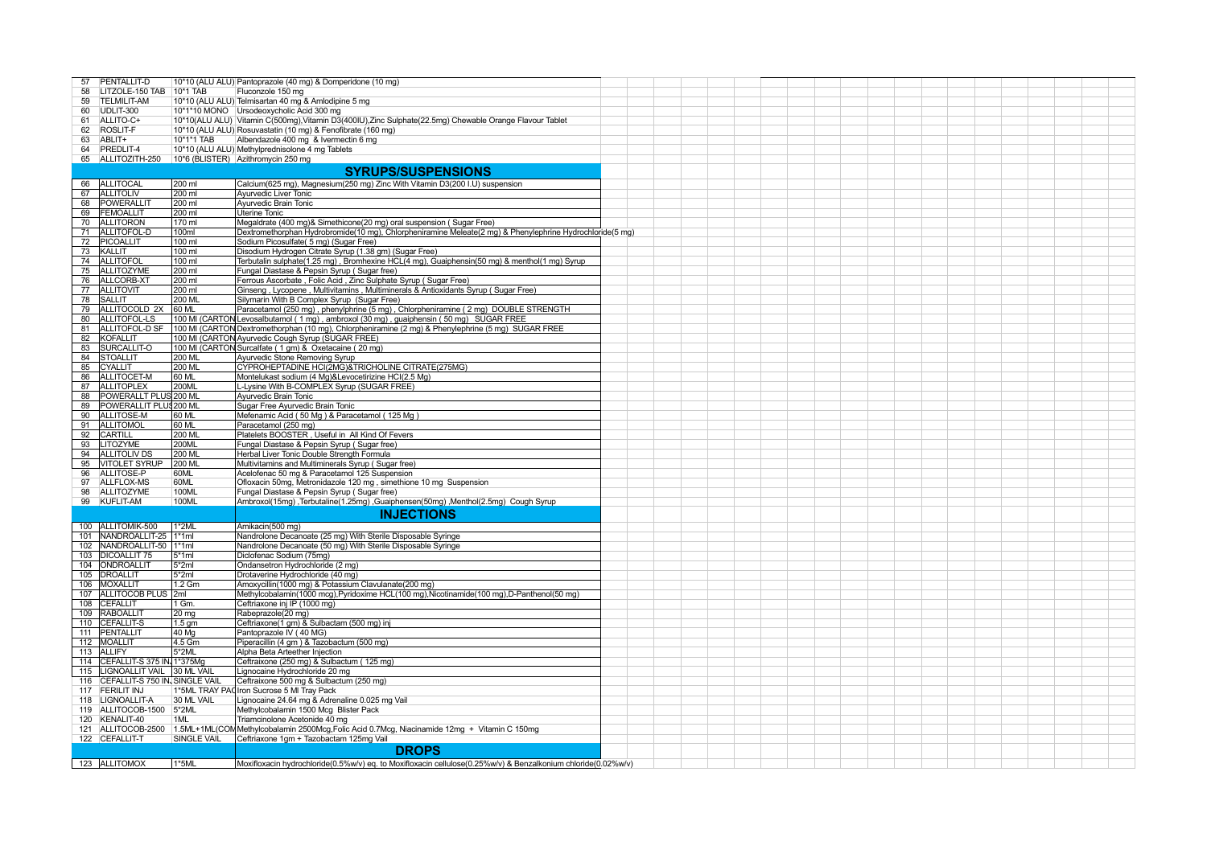| PENTALLIT-D<br>57                  |                                                      | 10*10 (ALU ALU) Pantoprazole (40 mg) & Domperidone (10 mg)                                                               |  |  |  |  |  |  |  |  |
|------------------------------------|------------------------------------------------------|--------------------------------------------------------------------------------------------------------------------------|--|--|--|--|--|--|--|--|
| 58<br>LITZOLE-150 TAB 10*1 TAB     |                                                      | Fluconzole 150 mg                                                                                                        |  |  |  |  |  |  |  |  |
| 59<br><b>TELMILIT-AM</b>           |                                                      | 10*10 (ALU ALU) Telmisartan 40 mg & Amlodipine 5 mg                                                                      |  |  |  |  |  |  |  |  |
| 60<br>UDLIT-300                    |                                                      | 10*1*10 MONO Ursodeoxycholic Acid 300 mg                                                                                 |  |  |  |  |  |  |  |  |
| ALLITO-C+                          |                                                      |                                                                                                                          |  |  |  |  |  |  |  |  |
| 61                                 |                                                      | 10*10(ALU ALU) Vitamin C(500mg), Vitamin D3(400IU), Zinc Sulphate(22.5mg) Chewable Orange Flavour Tablet                 |  |  |  |  |  |  |  |  |
| ROSLIT-F<br>62                     |                                                      | 10*10 (ALU ALU) Rosuvastatin (10 mg) & Fenofibrate (160 mg)                                                              |  |  |  |  |  |  |  |  |
| 63<br>ABLIT+                       | 10*1*1 TAB                                           | Albendazole 400 mg & Ivermectin 6 mg                                                                                     |  |  |  |  |  |  |  |  |
| PREDLIT-4<br>64                    |                                                      | 10*10 (ALU ALU) Methylprednisolone 4 mg Tablets                                                                          |  |  |  |  |  |  |  |  |
|                                    | 65 ALLITOZITH-250 10*6 (BLISTER) Azithromycin 250 mg |                                                                                                                          |  |  |  |  |  |  |  |  |
|                                    |                                                      | <b>SYRUPS/SUSPENSIONS</b>                                                                                                |  |  |  |  |  |  |  |  |
| <b>ALLITOCAL</b><br>66             | 200 ml                                               | Calcium(625 mg), Magnesium(250 mg) Zinc With Vitamin D3(200 I.U) suspension                                              |  |  |  |  |  |  |  |  |
| 67 ALLITOLIV                       | 200 ml                                               | Ayurvedic Liver Tonic                                                                                                    |  |  |  |  |  |  |  |  |
| POWERALLIT<br>68                   | 200 ml                                               | Ayurvedic Brain Tonic                                                                                                    |  |  |  |  |  |  |  |  |
| 69 FEMOALLIT                       | 200 ml                                               | <b>Uterine Tonic</b>                                                                                                     |  |  |  |  |  |  |  |  |
| 70 ALLITORON                       | 170 ml                                               | Megaldrate (400 mg)& Simethicone(20 mg) oral suspension (Sugar Free)                                                     |  |  |  |  |  |  |  |  |
| 71 ALLITOFOL-D                     |                                                      |                                                                                                                          |  |  |  |  |  |  |  |  |
|                                    | 100ml<br>100 ml                                      | Dextromethorphan Hydrobromide(10 mg), Chlorpheniramine Meleate(2 mg) & Phenylephrine Hydrochloride(5 mg)                 |  |  |  |  |  |  |  |  |
| 72   PICOALLIT<br>73 KALLIT        | 100 ml                                               | Sodium Picosulfate( 5 mg) (Sugar Free)                                                                                   |  |  |  |  |  |  |  |  |
| 74   ALLITOFOL                     |                                                      | Disodium Hydrogen Citrate Syrup (1.38 gm) (Sugar Free)                                                                   |  |  |  |  |  |  |  |  |
|                                    | 100 ml                                               | Terbutalin sulphate(1.25 mg), Bromhexine HCL(4 mg), Guaiphensin(50 mg) & menthol(1 mg) Syrup                             |  |  |  |  |  |  |  |  |
| 75<br>ALLITOZYME                   | 200 ml                                               | Fungal Diastase & Pepsin Syrup (Sugar free)                                                                              |  |  |  |  |  |  |  |  |
| ALLCORB-XT<br>76                   | 200 ml                                               | Ferrous Ascorbate, Folic Acid, Zinc Sulphate Syrup (Sugar Free)                                                          |  |  |  |  |  |  |  |  |
| 77 ALLITOVIT                       | 200 ml                                               | Ginseng, Lycopene, Multivitamins, Multiminerals & Antioxidants Syrup (Sugar Free)                                        |  |  |  |  |  |  |  |  |
| <b>SALLIT</b><br>78                | 200 ML                                               | Silymarin With B Complex Syrup (Sugar Free)                                                                              |  |  |  |  |  |  |  |  |
| 79<br>ALLITOCOLD 2X                | 60 ML                                                | Paracetamol (250 mg), phenylphrine (5 mg), Chlorpheniramine (2 mg) DOUBLE STRENGTH                                       |  |  |  |  |  |  |  |  |
| 80<br>ALLITOFOL-LS                 |                                                      | 100 MI (CARTON Levosalbutamol (1 mg), ambroxol (30 mg), guaiphensin (50 mg) SUGAR FREE                                   |  |  |  |  |  |  |  |  |
|                                    |                                                      | 81   ALLITOFOL-D SF   100 MI (CARTON Dextromethorphan (10 mg), Chlorpheniramine (2 mg) & Phenylephrine (5 mg) SUGAR FREE |  |  |  |  |  |  |  |  |
| 82<br><b>KOFALLIT</b>              |                                                      | 100 MI (CARTON Ayurvedic Cough Syrup (SUGAR FREE)                                                                        |  |  |  |  |  |  |  |  |
| 83<br>SURCALLIT-O                  |                                                      | 100 MI (CARTON Surcalfate (1 gm) & Oxetacaine (20 mg)                                                                    |  |  |  |  |  |  |  |  |
| <b>STOALLIT</b><br>84              | 200 ML                                               | Ayurvedic Stone Removing Syrup                                                                                           |  |  |  |  |  |  |  |  |
| 85 CYALLIT                         | 200 ML                                               | CYPROHEPTADINE HCI(2MG)&TRICHOLINE CITRATE(275MG)                                                                        |  |  |  |  |  |  |  |  |
| 86<br>ALLITOCET-M                  | 60 ML                                                | Montelukast sodium (4 Mg)&Levocetirizine HCI(2.5 Mg)                                                                     |  |  |  |  |  |  |  |  |
| <b>ALLITOPLEX</b><br>87            | <b>200ML</b>                                         | L-Lysine With B-COMPLEX Syrup (SUGAR FREE)                                                                               |  |  |  |  |  |  |  |  |
| 88<br>POWERALLT PLUS 200 ML        |                                                      | Ayurvedic Brain Tonic                                                                                                    |  |  |  |  |  |  |  |  |
| POWERALLIT PLUS 200 ML<br>89       |                                                      | Sugar Free Ayurvedic Brain Tonic                                                                                         |  |  |  |  |  |  |  |  |
| ALLITOSE-M<br>90                   | 60 ML                                                | Mefenamic Acid (50 Mg) & Paracetamol (125 Mg)                                                                            |  |  |  |  |  |  |  |  |
| ALLITOMOL<br>91                    | 60 ML                                                | Paracetamol (250 mg)                                                                                                     |  |  |  |  |  |  |  |  |
| 92<br>CARTILL                      | 200 ML                                               | Platelets BOOSTER, Useful in All Kind Of Fevers                                                                          |  |  |  |  |  |  |  |  |
| 93<br>LITOZYME                     | 200ML                                                | Fungal Diastase & Pepsin Syrup (Sugar free)                                                                              |  |  |  |  |  |  |  |  |
| <b>ALLITOLIV DS</b><br>94          | 200 ML                                               | Herbal Liver Tonic Double Strength Formula                                                                               |  |  |  |  |  |  |  |  |
| 95   VITOLET SYRUP                 | 200 ML                                               | Multivitamins and Multiminerals Syrup (Sugar free)                                                                       |  |  |  |  |  |  |  |  |
| ALLITOSE-P<br>96                   | 60ML                                                 | Acelofenac 50 mg & Paracetamol 125 Suspension                                                                            |  |  |  |  |  |  |  |  |
| 97<br>ALLFLOX-MS                   | 60ML                                                 | Ofloxacin 50mg, Metronidazole 120 mg, simethione 10 mg Suspension                                                        |  |  |  |  |  |  |  |  |
| 98<br>ALLITOZYME                   | 100ML                                                | Fungal Diastase & Pepsin Syrup (Sugar free)                                                                              |  |  |  |  |  |  |  |  |
| 99 KUFLIT-AM                       | 100ML                                                | Ambroxol(15mg),Terbutaline(1.25mg),Guaiphensen(50mg),Menthol(2.5mg) Cough Syrup                                          |  |  |  |  |  |  |  |  |
|                                    |                                                      | <b>INJECTIONS</b>                                                                                                        |  |  |  |  |  |  |  |  |
|                                    |                                                      |                                                                                                                          |  |  |  |  |  |  |  |  |
| 100 ALLITOMIK-500                  | $1*2ML$                                              | Amikacin(500 mg)                                                                                                         |  |  |  |  |  |  |  |  |
| 101  NANDROALLIT-25  1*1ml         |                                                      | Nandrolone Decanoate (25 mg) With Sterile Disposable Syringe                                                             |  |  |  |  |  |  |  |  |
| 102<br>NANDROALLIT-50  1*1ml       |                                                      | Nandrolone Decanoate (50 mg) With Sterile Disposable Syringe                                                             |  |  |  |  |  |  |  |  |
| 103 DICOALLIT 75                   | $5*1ml$                                              | Diclofenac Sodium (75mg)                                                                                                 |  |  |  |  |  |  |  |  |
| 104   ONDROALLIT                   | $5*2ml$                                              | Ondansetron Hydrochloride (2 mg)                                                                                         |  |  |  |  |  |  |  |  |
| 105  DROALLIT                      | $5*2ml$                                              | Drotaverine Hydrochloride (40 mg)                                                                                        |  |  |  |  |  |  |  |  |
| 106 MOXALLIT                       | 1.2 Gm                                               | Amoxycillin(1000 mg) & Potassium Clavulanate(200 mg)                                                                     |  |  |  |  |  |  |  |  |
| 107   ALLITOCOB PLUS   2ml         |                                                      | Methylcobalamin(1000 mcq), Pyridoxime HCL(100 mq), Nicotinamide(100 mq), D-Panthenol(50 mq)                              |  |  |  |  |  |  |  |  |
| 108 CEFALLIT                       | 1 Gm.                                                | Ceftriaxone inj IP (1000 mg)                                                                                             |  |  |  |  |  |  |  |  |
| <b>RABOALLIT</b><br>109            | 20 mg                                                | Rabeprazole(20 mg)                                                                                                       |  |  |  |  |  |  |  |  |
| 110 CEFALLIT-S                     | 1.5 <sub>gm</sub>                                    | Ceftriaxone(1 gm) & Sulbactam (500 mg) inj                                                                               |  |  |  |  |  |  |  |  |
| 111 PENTALLIT                      | 40 Mg                                                | Pantoprazole IV (40 MG)                                                                                                  |  |  |  |  |  |  |  |  |
| 112 MOALLIT                        | 4.5 Gm                                               | Piperacillin (4 gm) & Tazobactum (500 mg)                                                                                |  |  |  |  |  |  |  |  |
| 113 ALLIFY                         | 5*2ML                                                | Alpha Beta Arteether Injection                                                                                           |  |  |  |  |  |  |  |  |
| CEFALLIT-S 375 IN, 1*375Mg<br>114  |                                                      | Ceftraixone (250 mg) & Sulbactum ( 125 mg)                                                                               |  |  |  |  |  |  |  |  |
| 115                                | LIGNOALLIT VAIL 30 ML VAIL                           | Lignocaine Hydrochloride 20 mg                                                                                           |  |  |  |  |  |  |  |  |
| 116 CEFALLIT-S 750 IN, SINGLE VAIL |                                                      | Ceftraixone 500 mg & Sulbactum (250 mg)                                                                                  |  |  |  |  |  |  |  |  |
| 117 FERILIT INJ                    |                                                      | 1*5ML TRAY PAC Iron Sucrose 5 MI Tray Pack                                                                               |  |  |  |  |  |  |  |  |
| 118 LIGNOALLIT-A                   | 30 ML VAIL                                           | Lignocaine 24.64 mg & Adrenaline 0.025 mg Vail                                                                           |  |  |  |  |  |  |  |  |
| 119 ALLITOCOB-1500 5*2ML           |                                                      | Methylcobalamin 1500 Mcg Blister Pack                                                                                    |  |  |  |  |  |  |  |  |
| 120 KENALIT-40                     | 1ML                                                  | Triamcinolone Acetonide 40 mg                                                                                            |  |  |  |  |  |  |  |  |
| 121 ALLITOCOB-2500                 |                                                      | 1.5ML+1ML(COMMethylcobalamin 2500Mcg, Folic Acid 0.7Mcg, Niacinamide 12mg + Vitamin C 150mg                              |  |  |  |  |  |  |  |  |
| 122 CEFALLIT-T                     | SINGLE VAIL                                          | Ceftriaxone 1gm + Tazobactam 125mg Vail                                                                                  |  |  |  |  |  |  |  |  |
|                                    |                                                      | <b>DROPS</b>                                                                                                             |  |  |  |  |  |  |  |  |
| 123 ALLITOMOX                      | 1*5ML                                                | Moxifloxacin hydrochloride(0.5%w/v) eq. to Moxifloxacin cellulose(0.25%w/v) & Benzalkonium chloride(0.02%w/v)            |  |  |  |  |  |  |  |  |
|                                    |                                                      |                                                                                                                          |  |  |  |  |  |  |  |  |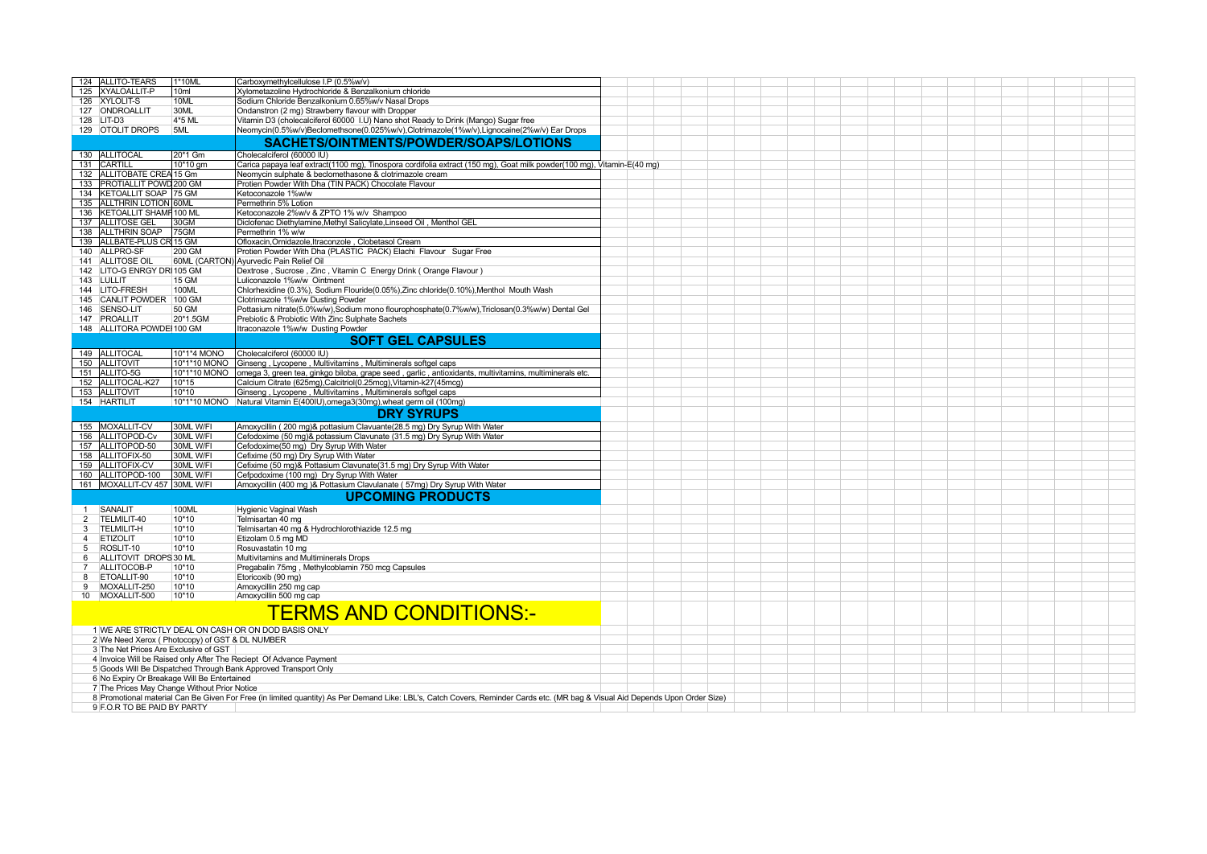| 124 ALLITO-TEARS                                                | 1*10ML                                                             | Carboxymethylcellulose I.P (0.5%w/v)                                                                                                                                          |  |  |  |  |  |  |  |  |  |  |
|-----------------------------------------------------------------|--------------------------------------------------------------------|-------------------------------------------------------------------------------------------------------------------------------------------------------------------------------|--|--|--|--|--|--|--|--|--|--|
| 125 XYALOALLIT-P                                                | 10 <sub>ml</sub>                                                   | Xvlometazoline Hydrochloride & Benzalkonium chloride                                                                                                                          |  |  |  |  |  |  |  |  |  |  |
| 126 XYLOLIT-S                                                   | 10ML                                                               | Sodium Chloride Benzalkonium 0.65%w/v Nasal Drops                                                                                                                             |  |  |  |  |  |  |  |  |  |  |
| 127 ONDROALLIT                                                  | 30ML                                                               | Ondanstron (2 mg) Strawberry flavour with Dropper                                                                                                                             |  |  |  |  |  |  |  |  |  |  |
|                                                                 |                                                                    |                                                                                                                                                                               |  |  |  |  |  |  |  |  |  |  |
| 128 LIT-D3                                                      | 4*5 ML                                                             | Vitamin D3 (cholecalciferol 60000 I.U) Nano shot Ready to Drink (Mango) Sugar free                                                                                            |  |  |  |  |  |  |  |  |  |  |
| 129 OTOLIT DROPS                                                | 5ML                                                                | Neomycin(0.5%w/v)Beclomethsone(0.025%w/v),Clotrimazole(1%w/v),Lignocaine(2%w/v) Ear Drops                                                                                     |  |  |  |  |  |  |  |  |  |  |
|                                                                 |                                                                    | SACHETS/OINTMENTS/POWDER/SOAPS/LOTIONS                                                                                                                                        |  |  |  |  |  |  |  |  |  |  |
|                                                                 |                                                                    |                                                                                                                                                                               |  |  |  |  |  |  |  |  |  |  |
| 130 ALLITOCAL                                                   | 20*1 Gm                                                            | Cholecalciferol (60000 IU)                                                                                                                                                    |  |  |  |  |  |  |  |  |  |  |
| 131 CARTILL                                                     | 10*10 gm                                                           | Carica papaya leaf extract(1100 mg), Tinospora cordifolia extract (150 mg), Goat milk powder(100 mg), Vitamin-E(40 mg)                                                        |  |  |  |  |  |  |  |  |  |  |
| 132 ALLITOBATE CREA 15 Gm                                       |                                                                    | Neomycin sulphate & beclomethasone & clotrimazole cream                                                                                                                       |  |  |  |  |  |  |  |  |  |  |
|                                                                 |                                                                    |                                                                                                                                                                               |  |  |  |  |  |  |  |  |  |  |
| 133 PROTIALLIT POWD 200 GM                                      |                                                                    | Protien Powder With Dha (TIN PACK) Chocolate Flavour                                                                                                                          |  |  |  |  |  |  |  |  |  |  |
| KETOALLIT SOAP 75 GM<br>134                                     |                                                                    | Ketoconazole 1%w/w                                                                                                                                                            |  |  |  |  |  |  |  |  |  |  |
| 135 ALLTHRIN LOTION 60ML                                        |                                                                    | Permethrin 5% Lotion                                                                                                                                                          |  |  |  |  |  |  |  |  |  |  |
| 136   KETOALLIT SHAMF 100 ML                                    |                                                                    | Ketoconazole 2%w/v & ZPTO 1% w/v Shampoo                                                                                                                                      |  |  |  |  |  |  |  |  |  |  |
| 137 ALLITOSE GEL                                                | 30GM                                                               | Diclofenac Diethylamine, Methyl Salicylate, Linseed Oil, Menthol GEL                                                                                                          |  |  |  |  |  |  |  |  |  |  |
|                                                                 |                                                                    |                                                                                                                                                                               |  |  |  |  |  |  |  |  |  |  |
| 138 ALLTHRIN SOAP                                               | 75GM                                                               | Permethrin 1% w/w                                                                                                                                                             |  |  |  |  |  |  |  |  |  |  |
| 139   ALLBATE-PLUS CR 15 GM                                     |                                                                    | Ofloxacin, Ornidazole, Itraconzole, Clobetasol Cream                                                                                                                          |  |  |  |  |  |  |  |  |  |  |
| 140 ALLPRO-SF                                                   | 200 GM                                                             | Protien Powder With Dha (PLASTIC PACK) Elachi Flavour Sugar Free                                                                                                              |  |  |  |  |  |  |  |  |  |  |
| 141 ALLITOSE OIL                                                |                                                                    | 60ML (CARTON) Ayurvedic Pain Relief Oil                                                                                                                                       |  |  |  |  |  |  |  |  |  |  |
|                                                                 |                                                                    |                                                                                                                                                                               |  |  |  |  |  |  |  |  |  |  |
| 142 LITO-G ENRGY DRI 105 GM                                     |                                                                    | Dextrose, Sucrose, Zinc, Vitamin C Energy Drink (Orange Flavour)                                                                                                              |  |  |  |  |  |  |  |  |  |  |
| 143 LULLIT                                                      | 15 GM                                                              | Luliconazole 1%w/w Ointment                                                                                                                                                   |  |  |  |  |  |  |  |  |  |  |
| 144 LITO-FRESH                                                  | 100ML                                                              | Chlorhexidine (0.3%), Sodium Flouride(0.05%), Zinc chloride(0.10%), Menthol Mouth Wash                                                                                        |  |  |  |  |  |  |  |  |  |  |
| 145 CANLIT POWDER 100 GM                                        |                                                                    | Clotrimazole 1%w/w Dusting Powder                                                                                                                                             |  |  |  |  |  |  |  |  |  |  |
| SENSO-LIT<br>146                                                | 50 GM                                                              | Pottasium nitrate(5.0%w/w),Sodium mono flourophosphate(0.7%w/w),Triclosan(0.3%w/w) Dental Gel                                                                                 |  |  |  |  |  |  |  |  |  |  |
| 147 PROALLIT                                                    | 20*1.5GM                                                           |                                                                                                                                                                               |  |  |  |  |  |  |  |  |  |  |
|                                                                 |                                                                    | Prebiotic & Probiotic With Zinc Sulphate Sachets                                                                                                                              |  |  |  |  |  |  |  |  |  |  |
| 148 ALLITORA POWDEI 100 GM                                      |                                                                    | Itraconazole 1%w/w Dusting Powder                                                                                                                                             |  |  |  |  |  |  |  |  |  |  |
|                                                                 |                                                                    | <b>SOFT GEL CAPSULES</b>                                                                                                                                                      |  |  |  |  |  |  |  |  |  |  |
|                                                                 |                                                                    |                                                                                                                                                                               |  |  |  |  |  |  |  |  |  |  |
| 149 ALLITOCAL                                                   | 10*1*4 MONO                                                        | Cholecalciferol (60000 IU)                                                                                                                                                    |  |  |  |  |  |  |  |  |  |  |
| 150 ALLITOVIT                                                   | 10*1*10 MONO                                                       | Ginseng, Lycopene, Multivitamins, Multiminerals softgel caps                                                                                                                  |  |  |  |  |  |  |  |  |  |  |
| 151 ALLITO-5G                                                   | 10*1*10 MONO                                                       | omega 3, green tea, ginkgo biloba, grape seed, garlic, antioxidants, multivitamins, multiminerals etc.                                                                        |  |  |  |  |  |  |  |  |  |  |
| 152 ALLITOCAL-K27                                               | 10*15                                                              | Calcium Citrate (625mg), Calcitriol(0.25mcg), Vitamin-k27(45mcg)                                                                                                              |  |  |  |  |  |  |  |  |  |  |
|                                                                 |                                                                    |                                                                                                                                                                               |  |  |  |  |  |  |  |  |  |  |
| 153 ALLITOVIT                                                   | 10*10                                                              | Ginseng, Lycopene, Multivitamins, Multiminerals softgel caps                                                                                                                  |  |  |  |  |  |  |  |  |  |  |
| 154 HARTILIT                                                    |                                                                    | 10*1*10 MONO Natural Vitamin E(400IU), omega3(30mg), wheat germ oil (100mg)                                                                                                   |  |  |  |  |  |  |  |  |  |  |
|                                                                 |                                                                    | <b>DRY SYRUPS</b>                                                                                                                                                             |  |  |  |  |  |  |  |  |  |  |
|                                                                 |                                                                    |                                                                                                                                                                               |  |  |  |  |  |  |  |  |  |  |
| 155 MOXALLIT-CV                                                 | 30ML W/FI                                                          | Amoxycillin (200 mg)& pottasium Clavuante(28.5 mg) Dry Syrup With Water                                                                                                       |  |  |  |  |  |  |  |  |  |  |
| 156 ALLITOPOD-Cv                                                | 30ML W/FI                                                          | Cefodoxime (50 mg)& potassium Clavunate (31.5 mg) Dry Syrup With Water                                                                                                        |  |  |  |  |  |  |  |  |  |  |
| 157 ALLITOPOD-50                                                | 30ML W/FI                                                          | Cefodoxime(50 mg) Dry Syrup With Water                                                                                                                                        |  |  |  |  |  |  |  |  |  |  |
|                                                                 |                                                                    |                                                                                                                                                                               |  |  |  |  |  |  |  |  |  |  |
| 158 ALLITOFIX-50                                                | 30ML W/FI                                                          | Cefixime (50 mg) Dry Syrup With Water                                                                                                                                         |  |  |  |  |  |  |  |  |  |  |
| 159 ALLITOFIX-CV                                                | 30ML W/FI                                                          | Cefixime (50 mg)& Pottasium Clavunate(31.5 mg) Dry Syrup With Water                                                                                                           |  |  |  |  |  |  |  |  |  |  |
| 160 ALLITOPOD-100                                               | 30ML W/FI                                                          | Cefpodoxime (100 mg) Dry Syrup With Water                                                                                                                                     |  |  |  |  |  |  |  |  |  |  |
| 161   MOXALLIT-CV 457   30ML W/FI                               |                                                                    | Amoxycillin (400 mg )& Pottasium Clavulanate (57mg) Dry Syrup With Water                                                                                                      |  |  |  |  |  |  |  |  |  |  |
|                                                                 |                                                                    |                                                                                                                                                                               |  |  |  |  |  |  |  |  |  |  |
|                                                                 |                                                                    | <b>UPCOMING PRODUCTS</b>                                                                                                                                                      |  |  |  |  |  |  |  |  |  |  |
| SANALIT<br>$\overline{1}$                                       | <b>100ML</b>                                                       | <b>Hygienic Vaginal Wash</b>                                                                                                                                                  |  |  |  |  |  |  |  |  |  |  |
|                                                                 | 10*10                                                              |                                                                                                                                                                               |  |  |  |  |  |  |  |  |  |  |
| 2<br>TELMILIT-40                                                |                                                                    | Telmisartan 40 mg                                                                                                                                                             |  |  |  |  |  |  |  |  |  |  |
| 3<br><b>TELMILIT-H</b>                                          | 10*10                                                              | Telmisartan 40 mg & Hydrochlorothiazide 12.5 mg                                                                                                                               |  |  |  |  |  |  |  |  |  |  |
| $\overline{4}$<br><b>ETIZOLIT</b>                               | 10*10                                                              | Etizolam 0.5 mg MD                                                                                                                                                            |  |  |  |  |  |  |  |  |  |  |
| ROSLIT-10<br>5                                                  | 10*10                                                              | Rosuvastatin 10 mg                                                                                                                                                            |  |  |  |  |  |  |  |  |  |  |
| ALLITOVIT DROPS 30 ML<br>6                                      |                                                                    | Multivitamins and Multiminerals Drops                                                                                                                                         |  |  |  |  |  |  |  |  |  |  |
| ALLITOCOB-P<br>$\overline{7}$                                   | 10*10                                                              | Pregabalin 75mg, Methylcoblamin 750 mcg Capsules                                                                                                                              |  |  |  |  |  |  |  |  |  |  |
|                                                                 |                                                                    |                                                                                                                                                                               |  |  |  |  |  |  |  |  |  |  |
| 8<br>ETOALLIT-90                                                | 10*10                                                              | Etoricoxib (90 mg)                                                                                                                                                            |  |  |  |  |  |  |  |  |  |  |
| MOXALLIT-250<br>9                                               | 10*10                                                              | Amoxycillin 250 mg cap                                                                                                                                                        |  |  |  |  |  |  |  |  |  |  |
| 10 MOXALLIT-500                                                 | 10*10                                                              | Amoxycillin 500 mg cap                                                                                                                                                        |  |  |  |  |  |  |  |  |  |  |
|                                                                 |                                                                    |                                                                                                                                                                               |  |  |  |  |  |  |  |  |  |  |
|                                                                 |                                                                    | <b>TERMS AND CONDITIONS:-</b>                                                                                                                                                 |  |  |  |  |  |  |  |  |  |  |
|                                                                 |                                                                    |                                                                                                                                                                               |  |  |  |  |  |  |  |  |  |  |
|                                                                 |                                                                    | 1 WE ARE STRICTLY DEAL ON CASH OR ON DOD BASIS ONLY                                                                                                                           |  |  |  |  |  |  |  |  |  |  |
| 2 We Need Xerox (Photocopy) of GST & DL NUMBER                  |                                                                    |                                                                                                                                                                               |  |  |  |  |  |  |  |  |  |  |
|                                                                 |                                                                    |                                                                                                                                                                               |  |  |  |  |  |  |  |  |  |  |
|                                                                 | 3 The Net Prices Are Exclusive of GST                              |                                                                                                                                                                               |  |  |  |  |  |  |  |  |  |  |
|                                                                 | 4 Invoice Will be Raised only After The Reciept Of Advance Payment |                                                                                                                                                                               |  |  |  |  |  |  |  |  |  |  |
| 5 Goods Will Be Dispatched Through Bank Approved Transport Only |                                                                    |                                                                                                                                                                               |  |  |  |  |  |  |  |  |  |  |
| 6 No Expiry Or Breakage Will Be Entertained                     |                                                                    |                                                                                                                                                                               |  |  |  |  |  |  |  |  |  |  |
|                                                                 | 7 The Prices May Change Without Prior Notice                       |                                                                                                                                                                               |  |  |  |  |  |  |  |  |  |  |
|                                                                 |                                                                    |                                                                                                                                                                               |  |  |  |  |  |  |  |  |  |  |
|                                                                 |                                                                    | 8 Promotional material Can Be Given For Free (in limited quantity) As Per Demand Like: LBL's, Catch Covers, Reminder Cards etc. (MR bag & Visual Aid Depends Upon Order Size) |  |  |  |  |  |  |  |  |  |  |
| 9 F.O.R TO BE PAID BY PARTY                                     |                                                                    |                                                                                                                                                                               |  |  |  |  |  |  |  |  |  |  |